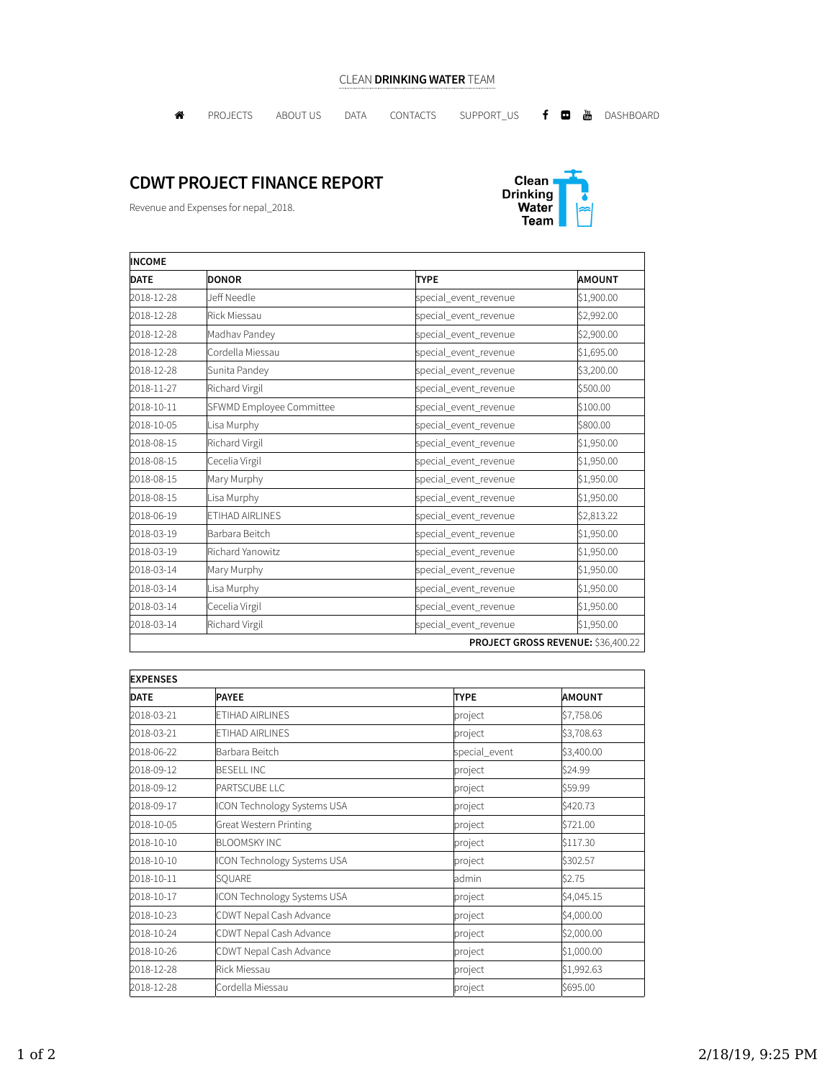## CLEAN DRINKING WATER TEAM

**A** PROJECTS ABOUTUS DATA CONTACTS SUPPORT\_US **f @** <mark>@</mark> DASHBOARD

## CDWT PROJECT FINANCE REPORT

Revenue and Expenses for nepal\_2018.



| <b>INCOME</b> |                          |                       |                                    |  |
|---------------|--------------------------|-----------------------|------------------------------------|--|
| <b>DATE</b>   | <b>DONOR</b>             | <b>TYPE</b>           | <b>AMOUNT</b>                      |  |
| 2018-12-28    | Jeff Needle              | special_event_revenue | \$1,900.00                         |  |
| 2018-12-28    | Rick Miessau             | special_event_revenue | \$2,992.00                         |  |
| 2018-12-28    | Madhav Pandey            | special_event_revenue | \$2,900.00                         |  |
| 2018-12-28    | Cordella Miessau         | special_event_revenue | \$1,695.00                         |  |
| 2018-12-28    | Sunita Pandey            | special_event_revenue | \$3,200.00                         |  |
| 2018-11-27    | Richard Virgil           | special_event_revenue | \$500.00                           |  |
| 2018-10-11    | SFWMD Employee Committee | special_event_revenue | \$100.00                           |  |
| 2018-10-05    | Lisa Murphy              | special_event_revenue | \$800.00                           |  |
| 2018-08-15    | Richard Virgil           | special_event_revenue | \$1,950.00                         |  |
| 2018-08-15    | Cecelia Virgil           | special_event_revenue | \$1,950.00                         |  |
| 2018-08-15    | Mary Murphy              | special_event_revenue | \$1,950.00                         |  |
| 2018-08-15    | Lisa Murphy              | special_event_revenue | \$1,950.00                         |  |
| 2018-06-19    | <b>ETIHAD AIRLINES</b>   | special_event_revenue | \$2,813.22                         |  |
| 2018-03-19    | Barbara Beitch           | special_event_revenue | \$1,950.00                         |  |
| 2018-03-19    | Richard Yanowitz         | special_event_revenue | \$1,950.00                         |  |
| 2018-03-14    | Mary Murphy              | special_event_revenue | \$1,950.00                         |  |
| 2018-03-14    | Lisa Murphy              | special_event_revenue | \$1,950.00                         |  |
| 2018-03-14    | Cecelia Virgil           | special_event_revenue | \$1,950.00                         |  |
| 2018-03-14    | Richard Virgil           | special_event_revenue | \$1,950.00                         |  |
|               |                          |                       | PROJECT GROSS REVENUE: \$36,400.22 |  |

| <b>EXPENSES</b> |                                    |               |               |  |
|-----------------|------------------------------------|---------------|---------------|--|
| <b>DATE</b>     | <b>PAYEE</b>                       | <b>TYPE</b>   | <b>AMOUNT</b> |  |
| 2018-03-21      | ETIHAD AIRLINES                    | project       | \$7,758.06    |  |
| 2018-03-21      | ETIHAD AIRLINES                    | project       | \$3,708.63    |  |
| 2018-06-22      | Barbara Beitch                     | special_event | \$3,400.00    |  |
| 2018-09-12      | <b>BESELL INC</b>                  | project       | \$24.99       |  |
| 2018-09-12      | PARTSCUBE LLC                      | project       | \$59.99       |  |
| 2018-09-17      | ICON Technology Systems USA        | project       | \$420.73      |  |
| 2018-10-05      | Great Western Printing             | project       | \$721.00      |  |
| 2018-10-10      | <b>BLOOMSKY INC</b>                | project       | \$117.30      |  |
| 2018-10-10      | <b>ICON Technology Systems USA</b> | project       | \$302.57      |  |
| 2018-10-11      | SOUARE                             | admin         | \$2.75        |  |
| 2018-10-17      | ICON Technology Systems USA        | project       | \$4,045.15    |  |
| 2018-10-23      | CDWT Nepal Cash Advance            | project       | \$4,000.00    |  |
| 2018-10-24      | CDWT Nepal Cash Advance            | project       | \$2,000.00    |  |
| 2018-10-26      | CDWT Nepal Cash Advance            | project       | \$1,000.00    |  |
| 2018-12-28      | Rick Miessau                       | project       | \$1,992.63    |  |
| 2018-12-28      | Cordella Miessau                   | project       | \$695.00      |  |